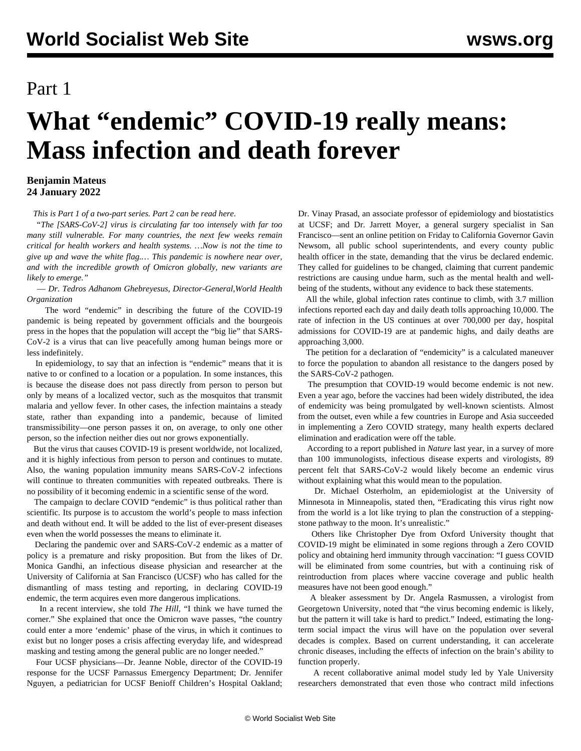## Part 1

## **What "endemic" COVID-19 really means: Mass infection and death forever**

## **Benjamin Mateus 24 January 2022**

*This is Part 1 of a two-part series. [Part 2 can be read here.](/en/articles/2022/01/26/ende-j26.html)*

 *"The [SARS-CoV-2] virus is circulating far too intensely with far too many still vulnerable. For many countries, the next few weeks remain critical for health workers and health systems. …Now is not the time to give up and wave the white flag.… This pandemic is nowhere near over, and with the incredible growth of Omicron globally, new variants are likely to emerge."*

 — *Dr. Tedros Adhanom Ghebreyesus, Director-General,World Health Organization*

 The word "endemic" in describing the future of the COVID-19 pandemic is being repeated by government officials and the bourgeois press in the hopes that the population will accept the "big lie" that SARS-CoV-2 is a virus that can live peacefully among human beings more or less indefinitely.

 In epidemiology, to say that an infection is "endemic" means that it is native to or confined to a location or a population. In some instances, this is because the disease does not pass directly from person to person but only by means of a localized vector, such as the mosquitos that transmit malaria and yellow fever. In other cases, the infection maintains a steady state, rather than expanding into a pandemic, because of limited transmissibility—one person passes it on, on average, to only one other person, so the infection neither dies out nor grows exponentially.

 But the virus that causes COVID-19 is present worldwide, not localized, and it is highly infectious from person to person and continues to mutate. Also, the waning population immunity means SARS-CoV-2 infections will continue to threaten communities with repeated outbreaks. There is no possibility of it becoming endemic in a scientific sense of the word.

 The campaign to declare COVID "endemic" is thus political rather than scientific. Its purpose is to accustom the world's people to mass infection and death without end. It will be added to the list of ever-present diseases even when the world possesses the means to eliminate it.

 Declaring the pandemic over and SARS-CoV-2 endemic as a matter of policy is a premature and risky proposition. But from the likes of Dr. Monica Gandhi, an infectious disease physician and researcher at the University of California at San Francisco (UCSF) who has called for the dismantling of mass testing and reporting, in declaring COVID-19 endemic, the term acquires even more dangerous implications.

 In a recent interview, she told *The Hill,* "I think we have turned the corner." She explained that once the Omicron wave passes, "the country could enter a more 'endemic' phase of the virus, in which it continues to exist but no longer poses a crisis affecting everyday life, and widespread masking and testing among the general public are no longer needed."

 Four UCSF physicians—Dr. Jeanne Noble, director of the COVID-19 response for the UCSF Parnassus Emergency Department; Dr. Jennifer Nguyen, a pediatrician for UCSF Benioff Children's Hospital Oakland; Dr. Vinay Prasad, an associate professor of epidemiology and biostatistics at UCSF; and Dr. Jarrett Moyer, a general surgery specialist in San Francisco—sent an online petition on Friday to California Governor Gavin Newsom, all public school superintendents, and every county public health officer in the state, demanding that the virus be declared endemic. They called for guidelines to be changed, claiming that current pandemic restrictions are causing undue harm, such as the mental health and wellbeing of the students, without any evidence to back these statements.

 All the while, global infection rates continue to climb, with 3.7 million infections reported each day and daily death tolls approaching 10,000. The rate of infection in the US continues at over 700,000 per day, hospital admissions for COVID-19 are at pandemic highs, and daily deaths are approaching 3,000.

 The petition for a declaration of "endemicity" is a calculated maneuver to force the population to abandon all resistance to the dangers posed by the SARS-CoV-2 pathogen.

 The presumption that COVID-19 would become endemic is not new. Even a year ago, before the vaccines had been widely distributed, the idea of endemicity was being promulgated by well-known scientists. Almost from the outset, even while a few countries in Europe and Asia succeeded in implementing a Zero COVID strategy, many health experts declared elimination and eradication were off the table.

 According to a report published in *[Nature](https://www.nature.com/articles/d41586-021-00396-2)* last year, in a survey of more than 100 immunologists, infectious disease experts and virologists, 89 percent felt that SARS-CoV-2 would likely become an endemic virus without explaining what this would mean to the population.

 Dr. Michael Osterholm, an epidemiologist at the University of Minnesota in Minneapolis, stated then, "Eradicating this virus right now from the world is a lot like trying to plan the construction of a steppingstone pathway to the moon. It's unrealistic."

 Others like Christopher Dye from Oxford University thought that COVID-19 might be eliminated in some regions through a Zero COVID policy and obtaining herd immunity through vaccination: "I guess COVID will be eliminated from some countries, but with a continuing risk of reintroduction from places where vaccine coverage and public health measures have not been good enough."

 A bleaker assessment by Dr. Angela Rasmussen, a virologist from Georgetown University, noted that "the virus becoming endemic is likely, but the pattern it will take is hard to predict." Indeed, estimating the longterm social impact the virus will have on the population over several decades is complex. Based on current understanding, it can accelerate chronic diseases, including the effects of infection on the brain's ability to function properly.

 A recent collaborative animal model [study](https://www.biorxiv.org/content/10.1101/2022.01.07.475453v1) led by Yale University researchers demonstrated that even those who contract mild infections